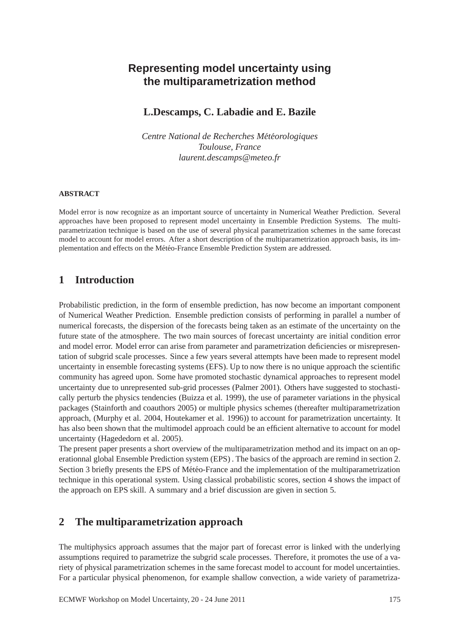# **Representing model uncertainty using the multiparametrization method**

### **L.Descamps, C. Labadie and E. Bazile**

*Centre National de Recherches Météorologiques Toulouse, France laurent.descamps@meteo.fr*

#### **ABSTRACT**

Model error is now recognize as an important source of uncertainty in Numerical Weather Prediction. Several approaches have been proposed to represent model uncertainty in Ensemble Prediction Systems. The multiparametrization technique is based on the use of several physical parametrization schemes in the same forecast model to account for model errors. After a short description of the multiparametrization approach basis, its implementation and effects on the Météo-France Ensemble Prediction System are addressed.

### **1 Introduction**

Probabilistic prediction, in the form of ensemble prediction, has now become an important component of Numerical Weather Prediction. Ensemble prediction consists of performing in parallel a number of numerical forecasts, the dispersion of the forecasts being taken as an estimate of the uncertainty on the future state of the atmosphere. The two main sources of forecast uncertainty are initial condition error and model error. Model error can arise from parameter and parametrization deficiencies or misrepresentation of subgrid scale processes. Since a few years several attempts have been made to represent model uncertainty in ensemble forecasting systems (EFS). Up to now there is no unique approach the scientific community has agreed upon. Some have promoted stochastic dynamical approaches to represent model uncertainty due to unrepresented sub-grid processes (Palmer 2001). Others have suggested to stochastically perturb the physics tendencies (Buizza et al. 1999), the use of parameter variations in the physical packages (Stainforth and coauthors 2005) or multiple physics schemes (thereafter multiparametrization approach, (Murphy et al. 2004, Houtekamer et al. 1996)) to account for parametrization uncertainty. It has also been shown that the multimodel approach could be an efficient alternative to account for model uncertainty (Hagededorn et al. 2005).

The present paper presents a short overview of the multiparametrization method and its impact on an operationnal global Ensemble Prediction system (EPS) . The basics of the approach are remind in section 2. Section 3 briefly presents the EPS of Météo-France and the implementation of the multiparametrization technique in this operational system. Using classical probabilistic scores, section 4 shows the impact of the approach on EPS skill. A summary and a brief discussion are given in section 5.

## **2 The multiparametrization approach**

The multiphysics approach assumes that the major part of forecast error is linked with the underlying assumptions required to parametrize the subgrid scale processes. Therefore, it promotes the use of a variety of physical parametrization schemes in the same forecast model to account for model uncertainties. For a particular physical phenomenon, for example shallow convection, a wide variety of parametriza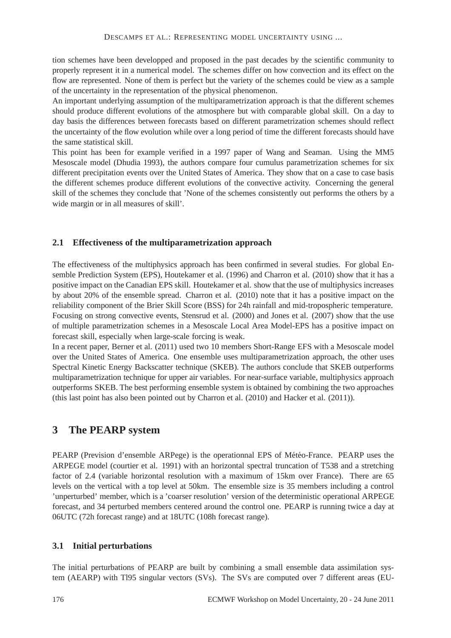tion schemes have been developped and proposed in the past decades by the scientific community to properly represent it in a numerical model. The schemes differ on how convection and its effect on the flow are represented. None of them is perfect but the variety of the schemes could be view as a sample of the uncertainty in the representation of the physical phenomenon.

An important underlying assumption of the multiparametrization approach is that the different schemes should produce different evolutions of the atmosphere but with comparable global skill. On a day to day basis the differences between forecasts based on different parametrization schemes should reflect the uncertainty of the flow evolution while over a long period of time the different forecasts should have the same statistical skill.

This point has been for example verified in a 1997 paper of Wang and Seaman. Using the MM5 Mesoscale model (Dhudia 1993), the authors compare four cumulus parametrization schemes for six different precipitation events over the United States of America. They show that on a case to case basis the different schemes produce different evolutions of the convective activity. Concerning the general skill of the schemes they conclude that 'None of the schemes consistently out performs the others by a wide margin or in all measures of skill'.

#### **2.1 Effectiveness of the multiparametrization approach**

The effectiveness of the multiphysics approach has been confirmed in several studies. For global Ensemble Prediction System (EPS), Houtekamer et al. (1996) and Charron et al. (2010) show that it has a positive impact on the Canadian EPS skill. Houtekamer et al. show that the use of multiphysics increases by about 20% of the ensemble spread. Charron et al. (2010) note that it has a positive impact on the reliability component of the Brier Skill Score (BSS) for 24h rainfall and mid-tropospheric temperature. Focusing on strong convective events, Stensrud et al. (2000) and Jones et al. (2007) show that the use of multiple parametrization schemes in a Mesoscale Local Area Model-EPS has a positive impact on forecast skill, especially when large-scale forcing is weak.

In a recent paper, Berner et al. (2011) used two 10 members Short-Range EFS with a Mesoscale model over the United States of America. One ensemble uses multiparametrization approach, the other uses Spectral Kinetic Energy Backscatter technique (SKEB). The authors conclude that SKEB outperforms multiparametrization technique for upper air variables. For near-surface variable, multiphysics approach outperforms SKEB. The best performing ensemble system is obtained by combining the two approaches (this last point has also been pointed out by Charron et al. (2010) and Hacker et al. (2011)).

## **3 The PEARP system**

PEARP (Prevision d'ensemble ARPege) is the operationnal EPS of Météo-France. PEARP uses the ARPEGE model (courtier et al. 1991) with an horizontal spectral truncation of T538 and a stretching factor of 2.4 (variable horizontal resolution with a maximum of 15km over France). There are 65 levels on the vertical with a top level at 50km. The ensemble size is 35 members including a control 'unperturbed' member, which is a 'coarser resolution' version of the deterministic operational ARPEGE forecast, and 34 perturbed members centered around the control one. PEARP is running twice a day at 06UTC (72h forecast range) and at 18UTC (108h forecast range).

#### **3.1 Initial perturbations**

The initial perturbations of PEARP are built by combining a small ensemble data assimilation system (AEARP) with Tl95 singular vectors (SVs). The SVs are computed over 7 different areas (EU-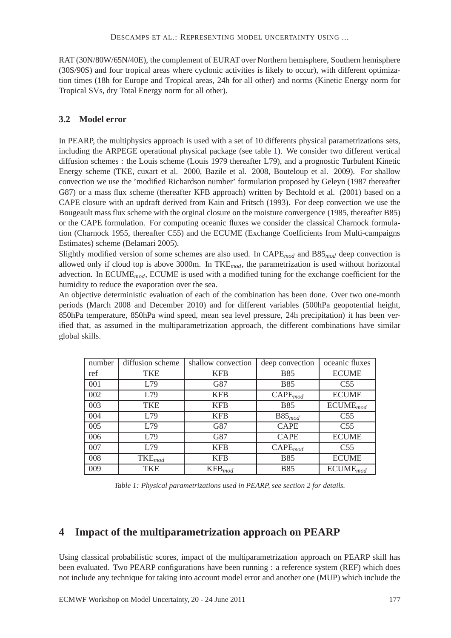RAT (30N/80W/65N/40E), the complement of EURAT over Northern hemisphere, Southern hemisphere (30S/90S) and four tropical areas where cyclonic activities is likely to occur), with different optimization times (18h for Europe and Tropical areas, 24h for all other) and norms (Kinetic Energy norm for Tropical SVs, dry Total Energy norm for all other).

### **3.2 Model error**

In PEARP, the multiphysics approach is used with a set of 10 differents physical parametrizations sets, including the ARPEGE operational physical package (see table [1\)](#page-2-0). We consider two different vertical diffusion schemes : the Louis scheme (Louis 1979 thereafter L79), and a prognostic Turbulent Kinetic Energy scheme (TKE, cuxart et al. 2000, Bazile et al. 2008, Bouteloup et al. 2009). For shallow convection we use the 'modified Richardson number' formulation proposed by Geleyn (1987 thereafter G87) or a mass flux scheme (thereafter KFB approach) written by Bechtold et al. (2001) based on a CAPE closure with an updraft derived from Kain and Fritsch (1993). For deep convection we use the Bougeault mass flux scheme with the orginal closure on the moisture convergence (1985, thereafter B85) or the CAPE formulation. For computing oceanic fluxes we consider the classical Charnock formulation (Charnock 1955, thereafter C55) and the ECUME (Exchange Coefficients from Multi-campaigns Estimates) scheme (Belamari 2005).

Slightly modified version of some schemes are also used. In CAPE*mod* and B85*mod* deep convection is allowed only if cloud top is above 3000m. In TKE*mod*, the parametrization is used without horizontal advection. In ECUME*mod*, ECUME is used with a modified tuning for the exchange coefficient for the humidity to reduce the evaporation over the sea.

An objective deterministic evaluation of each of the combination has been done. Over two one-month periods (March 2008 and December 2010) and for different variables (500hPa geopotential height, 850hPa temperature, 850hPa wind speed, mean sea level pressure, 24h precipitation) it has been verified that, as assumed in the multiparametrization approach, the different combinations have similar global skills.

| number | diffusion scheme   | shallow convection | deep convection       | oceanic fluxes  |
|--------|--------------------|--------------------|-----------------------|-----------------|
| ref    | <b>TKE</b>         | <b>KFB</b>         | <b>B85</b>            | <b>ECUME</b>    |
| 001    | L79                | G87                | <b>B85</b>            | C <sub>55</sub> |
| 002    | L79                | <b>KFB</b>         | $\mathsf{CAPE}_{mod}$ | <b>ECUME</b>    |
| 003    | <b>TKE</b>         | <b>KFB</b>         | <b>B85</b>            | $ECUME_{mod}$   |
| 004    | L79                | KFB                | $B85_{mod}$           | C <sub>55</sub> |
| 005    | L79                | G87                | <b>CAPE</b>           | C <sub>55</sub> |
| 006    | L79                | G87                | <b>CAPE</b>           | <b>ECUME</b>    |
| 007    | L79                | <b>KFB</b>         | $\mathsf{CAPE}_{mod}$ | C <sub>55</sub> |
| 008    | $\text{TKE}_{mod}$ | KFB                | <b>B85</b>            | <b>ECUME</b>    |
| 009    | <b>TKE</b>         | $KFB_{mod}$        | <b>B85</b>            | $ECUME_{mod}$   |

<span id="page-2-0"></span>*Table 1: Physical parametrizations used in PEARP, see section 2 for details.*

## **4 Impact of the multiparametrization approach on PEARP**

Using classical probabilistic scores, impact of the multiparametrization approach on PEARP skill has been evaluated. Two PEARP configurations have been running : a reference system (REF) which does not include any technique for taking into account model error and another one (MUP) which include the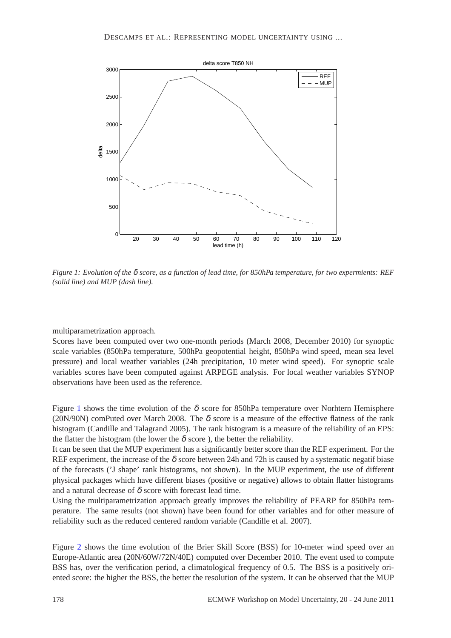

<span id="page-3-0"></span>*Figure 1: Evolution of the* δ *score, as a function of lead time, for 850hPa temperature, for two expermients: REF (solid line) and MUP (dash line).*

multiparametrization approach.

Scores have been computed over two one-month periods (March 2008, December 2010) for synoptic scale variables (850hPa temperature, 500hPa geopotential height, 850hPa wind speed, mean sea level pressure) and local weather variables (24h precipitation, 10 meter wind speed). For synoptic scale variables scores have been computed against ARPEGE analysis. For local weather variables SYNOP observations have been used as the reference.

Figure [1](#page-3-0) shows the time evolution of the  $\delta$  score for 850hPa temperature over Norhtern Hemisphere (20N/90N) comPuted over March 2008. The  $\delta$  score is a measure of the effective flatness of the rank histogram (Candille and Talagrand 2005). The rank histogram is a measure of the reliability of an EPS: the flatter the histogram (the lower the  $\delta$  score), the better the reliability.

It can be seen that the MUP experiment has a significantly better score than the REF experiment. For the REF experiment, the increase of the  $\delta$  score between 24h and 72h is caused by a systematic negatif biase of the forecasts ('J shape' rank histograms, not shown). In the MUP experiment, the use of different physical packages which have different biases (positive or negative) allows to obtain flatter histograms and a natural decrease of  $\delta$  score with forecast lead time.

Using the multiparametrization approach greatly improves the reliability of PEARP for 850hPa temperature. The same results (not shown) have been found for other variables and for other measure of reliability such as the reduced centered random variable (Candille et al. 2007).

Figure [2](#page-4-0) shows the time evolution of the Brier Skill Score (BSS) for 10-meter wind speed over an Europe-Atlantic area (20N/60W/72N/40E) computed over December 2010. The event used to compute BSS has, over the verification period, a climatological frequency of 0.5. The BSS is a positively oriented score: the higher the BSS, the better the resolution of the system. It can be observed that the MUP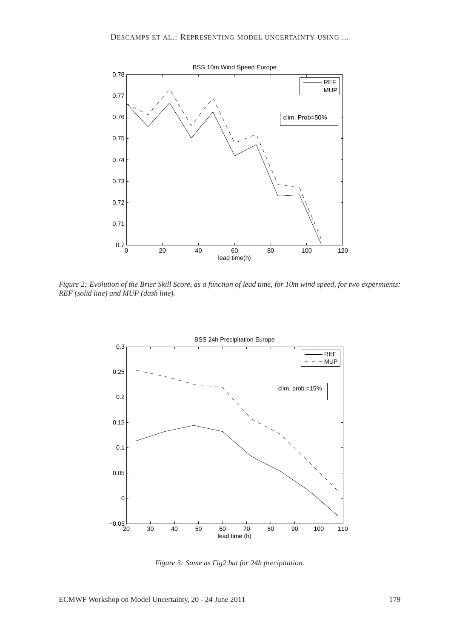

<span id="page-4-0"></span>*Figure 2: Evolution of the Brier Skill Score, as a function of lead time, for 10m wind speed, for two expermients: REF (solid line) and MUP (dash line).*



<span id="page-4-1"></span>*Figure 3: Same as Fig2 but for 24h precipitation.*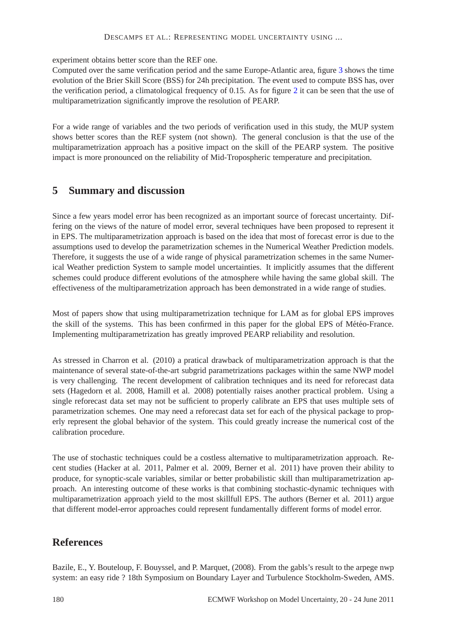#### DESCAMPS ET AL.: REPRESENTING MODEL UNCERTAINTY USING ...

experiment obtains better score than the REF one.

Computed over the same verification period and the same Europe-Atlantic area, figure [3](#page-4-1) shows the time evolution of the Brier Skill Score (BSS) for 24h precipitation. The event used to compute BSS has, over the verification period, a climatological frequency of 0.15. As for figure [2](#page-4-0) it can be seen that the use of multiparametrization significantly improve the resolution of PEARP.

For a wide range of variables and the two periods of verification used in this study, the MUP system shows better scores than the REF system (not shown). The general conclusion is that the use of the multiparametrization approach has a positive impact on the skill of the PEARP system. The positive impact is more pronounced on the reliability of Mid-Tropospheric temperature and precipitation.

## **5 Summary and discussion**

Since a few years model error has been recognized as an important source of forecast uncertainty. Differing on the views of the nature of model error, several techniques have been proposed to represent it in EPS. The multiparametrization approach is based on the idea that most of forecast error is due to the assumptions used to develop the parametrization schemes in the Numerical Weather Prediction models. Therefore, it suggests the use of a wide range of physical parametrization schemes in the same Numerical Weather prediction System to sample model uncertainties. It implicitly assumes that the different schemes could produce different evolutions of the atmosphere while having the same global skill. The effectiveness of the multiparametrization approach has been demonstrated in a wide range of studies.

Most of papers show that using multiparametrization technique for LAM as for global EPS improves the skill of the systems. This has been confirmed in this paper for the global EPS of Météo-France. Implementing multiparametrization has greatly improved PEARP reliability and resolution.

As stressed in Charron et al. (2010) a pratical drawback of multiparametrization approach is that the maintenance of several state-of-the-art subgrid parametrizations packages within the same NWP model is very challenging. The recent development of calibration techniques and its need for reforecast data sets (Hagedorn et al. 2008, Hamill et al. 2008) potentially raises another practical problem. Using a single reforecast data set may not be sufficient to properly calibrate an EPS that uses multiple sets of parametrization schemes. One may need a reforecast data set for each of the physical package to properly represent the global behavior of the system. This could greatly increase the numerical cost of the calibration procedure.

The use of stochastic techniques could be a costless alternative to multiparametrization approach. Recent studies (Hacker at al. 2011, Palmer et al. 2009, Berner et al. 2011) have proven their ability to produce, for synoptic-scale variables, similar or better probabilistic skill than multiparametrization approach. An interesting outcome of these works is that combining stochastic-dynamic techniques with multiparametrization approach yield to the most skillfull EPS. The authors (Berner et al. 2011) argue that different model-error approaches could represent fundamentally different forms of model error.

## **References**

Bazile, E., Y. Bouteloup, F. Bouyssel, and P. Marquet, (2008). From the gabls's result to the arpege nwp system: an easy ride ? 18th Symposium on Boundary Layer and Turbulence Stockholm-Sweden, AMS.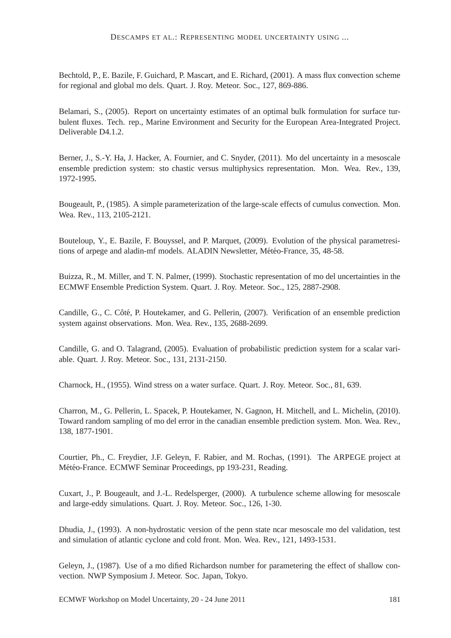Bechtold, P., E. Bazile, F. Guichard, P. Mascart, and E. Richard, (2001). A mass flux convection scheme for regional and global mo dels. Quart. J. Roy. Meteor. Soc., 127, 869-886.

Belamari, S., (2005). Report on uncertainty estimates of an optimal bulk formulation for surface turbulent fluxes. Tech. rep., Marine Environment and Security for the European Area-Integrated Project. Deliverable D4.1.2.

Berner, J., S.-Y. Ha, J. Hacker, A. Fournier, and C. Snyder, (2011). Mo del uncertainty in a mesoscale ensemble prediction system: sto chastic versus multiphysics representation. Mon. Wea. Rev., 139, 1972-1995.

Bougeault, P., (1985). A simple parameterization of the large-scale effects of cumulus convection. Mon. Wea. Rev., 113, 2105-2121.

Bouteloup, Y., E. Bazile, F. Bouyssel, and P. Marquet, (2009). Evolution of the physical parametresitions of arpege and aladin-mf models. ALADIN Newsletter, Météo-France, 35, 48-58.

Buizza, R., M. Miller, and T. N. Palmer, (1999). Stochastic representation of mo del uncertainties in the ECMWF Ensemble Prediction System. Quart. J. Roy. Meteor. Soc., 125, 2887-2908.

Candille, G., C. Côté, P. Houtekamer, and G. Pellerin, (2007). Verification of an ensemble prediction system against observations. Mon. Wea. Rev., 135, 2688-2699.

Candille, G. and O. Talagrand, (2005). Evaluation of probabilistic prediction system for a scalar variable. Quart. J. Roy. Meteor. Soc., 131, 2131-2150.

Charnock, H., (1955). Wind stress on a water surface. Quart. J. Roy. Meteor. Soc., 81, 639.

Charron, M., G. Pellerin, L. Spacek, P. Houtekamer, N. Gagnon, H. Mitchell, and L. Michelin, (2010). Toward random sampling of mo del error in the canadian ensemble prediction system. Mon. Wea. Rev., 138, 1877-1901.

Courtier, Ph., C. Freydier, J.F. Geleyn, F. Rabier, and M. Rochas, (1991). The ARPEGE project at Météo-France. ECMWF Seminar Proceedings, pp 193-231, Reading.

Cuxart, J., P. Bougeault, and J.-L. Redelsperger, (2000). A turbulence scheme allowing for mesoscale and large-eddy simulations. Quart. J. Roy. Meteor. Soc., 126, 1-30.

Dhudia, J., (1993). A non-hydrostatic version of the penn state ncar mesoscale mo del validation, test and simulation of atlantic cyclone and cold front. Mon. Wea. Rev., 121, 1493-1531.

Geleyn, J., (1987). Use of a mo dified Richardson number for parametering the effect of shallow convection. NWP Symposium J. Meteor. Soc. Japan, Tokyo.